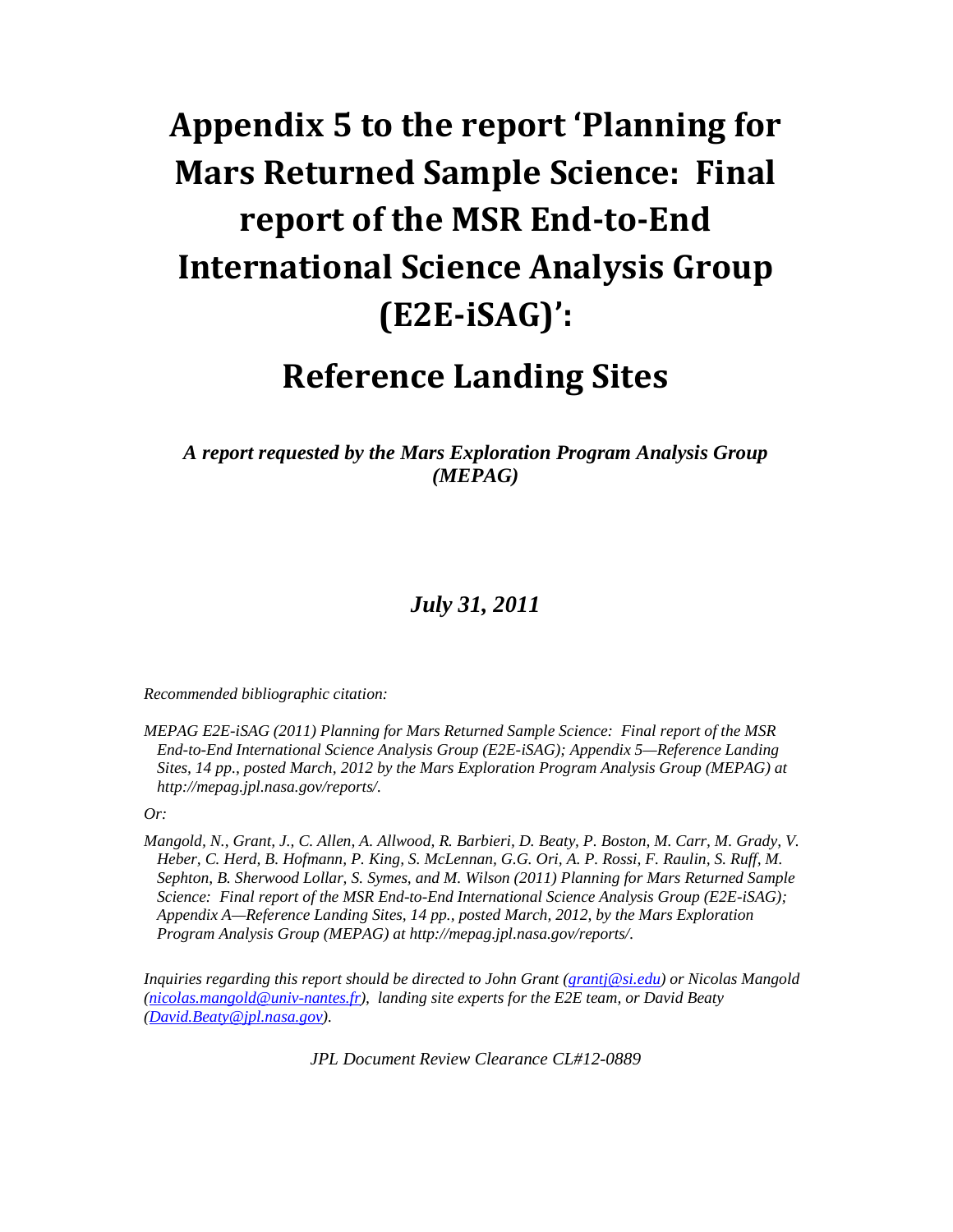# Appendix 5 to the report 'Planning for Mars Returned Sample Science: Final report of the MSR End-to-End International Science Analysis Group (E2E-iSAG)':

## Reference Landing Sites

*A report requested by the Mars Exploration Program Analysis Group (MEPAG)* 

### *July 31, 2011*

*Recommended bibliographic citation:* 

*MEPAG E2E-iSAG (2011) Planning for Mars Returned Sample Science: Final report of the MSR End-to-End International Science Analysis Group (E2E-iSAG); Appendix 5—Reference Landing Sites, 14 pp., posted March, 2012 by the Mars Exploration Program Analysis Group (MEPAG) at http://mepag.jpl.nasa.gov/reports/.* 

*Or:* 

*Mangold, N., Grant, J., C. Allen, A. Allwood, R. Barbieri, D. Beaty, P. Boston, M. Carr, M. Grady, V. Heber, C. Herd, B. Hofmann, P. King, S. McLennan, G.G. Ori, A. P. Rossi, F. Raulin, S. Ruff, M. Sephton, B. Sherwood Lollar, S. Symes, and M. Wilson (2011) Planning for Mars Returned Sample Science: Final report of the MSR End-to-End International Science Analysis Group (E2E-iSAG); Appendix A—Reference Landing Sites, 14 pp., posted March, 2012, by the Mars Exploration Program Analysis Group (MEPAG) at http://mepag.jpl.nasa.gov/reports/.* 

*Inquiries regarding this report should be directed to John Grant (grantj@si.edu) or Nicolas Mangold (nicolas.mangold@univ-nantes.fr), landing site experts for the E2E team, or David Beaty (David.Beaty@jpl.nasa.gov).* 

*JPL Document Review Clearance CL#12-0889*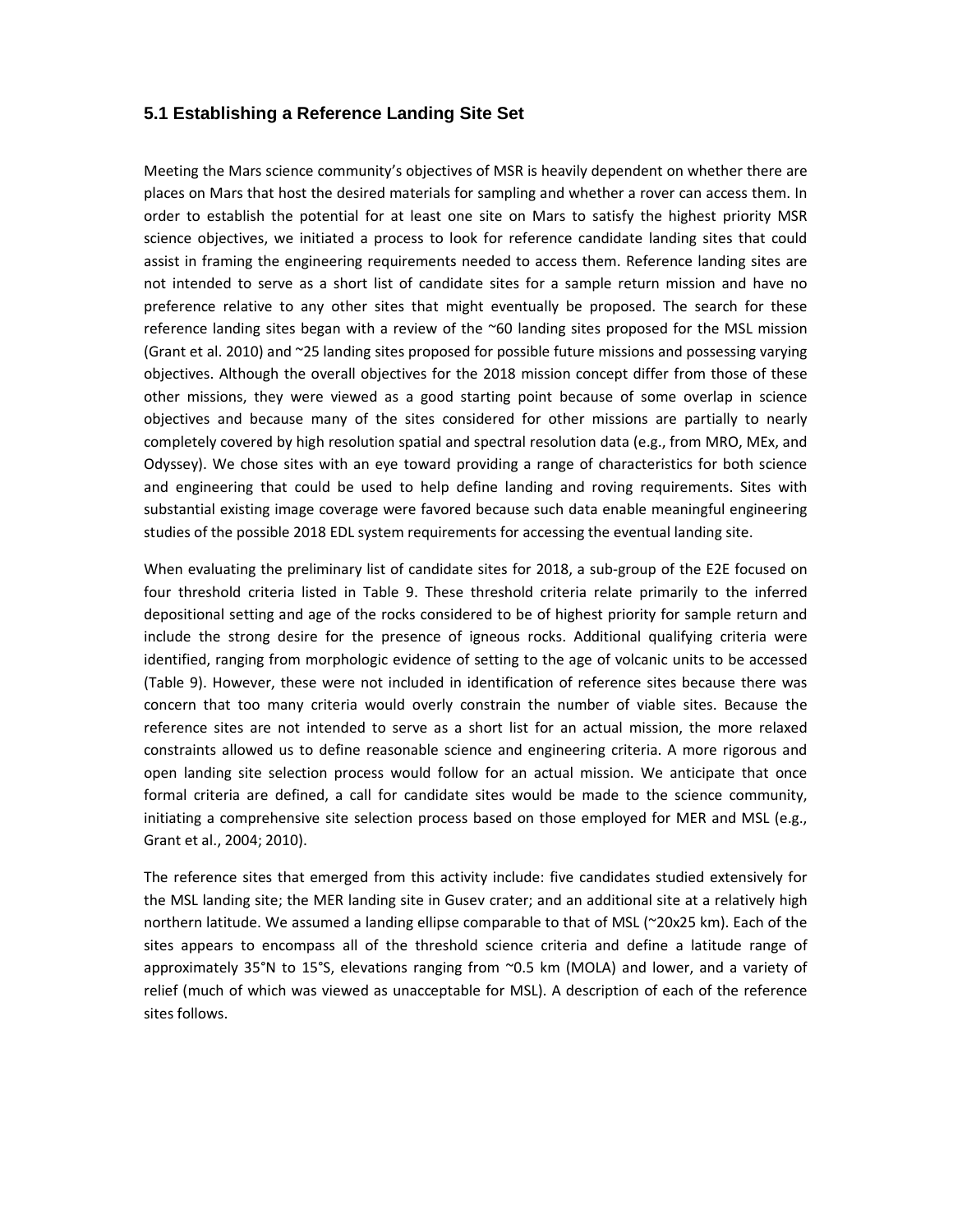#### **5.1 Establishing a Reference Landing Site Set**

Meeting the Mars science community's objectives of MSR is heavily dependent on whether there are places on Mars that host the desired materials for sampling and whether a rover can access them. In order to establish the potential for at least one site on Mars to satisfy the highest priority MSR science objectives, we initiated a process to look for reference candidate landing sites that could assist in framing the engineering requirements needed to access them. Reference landing sites are not intended to serve as a short list of candidate sites for a sample return mission and have no preference relative to any other sites that might eventually be proposed. The search for these reference landing sites began with a review of the ~60 landing sites proposed for the MSL mission (Grant et al. 2010) and ~25 landing sites proposed for possible future missions and possessing varying objectives. Although the overall objectives for the 2018 mission concept differ from those of these other missions, they were viewed as a good starting point because of some overlap in science objectives and because many of the sites considered for other missions are partially to nearly completely covered by high resolution spatial and spectral resolution data (e.g., from MRO, MEx, and Odyssey). We chose sites with an eye toward providing a range of characteristics for both science and engineering that could be used to help define landing and roving requirements. Sites with substantial existing image coverage were favored because such data enable meaningful engineering studies of the possible 2018 EDL system requirements for accessing the eventual landing site.

When evaluating the preliminary list of candidate sites for 2018, a sub-group of the E2E focused on four threshold criteria listed in Table 9. These threshold criteria relate primarily to the inferred depositional setting and age of the rocks considered to be of highest priority for sample return and include the strong desire for the presence of igneous rocks. Additional qualifying criteria were identified, ranging from morphologic evidence of setting to the age of volcanic units to be accessed (Table 9). However, these were not included in identification of reference sites because there was concern that too many criteria would overly constrain the number of viable sites. Because the reference sites are not intended to serve as a short list for an actual mission, the more relaxed constraints allowed us to define reasonable science and engineering criteria. A more rigorous and open landing site selection process would follow for an actual mission. We anticipate that once formal criteria are defined, a call for candidate sites would be made to the science community, initiating a comprehensive site selection process based on those employed for MER and MSL (e.g., Grant et al., 2004; 2010).

The reference sites that emerged from this activity include: five candidates studied extensively for the MSL landing site; the MER landing site in Gusev crater; and an additional site at a relatively high northern latitude. We assumed a landing ellipse comparable to that of MSL (~20x25 km). Each of the sites appears to encompass all of the threshold science criteria and define a latitude range of approximately 35°N to 15°S, elevations ranging from ~0.5 km (MOLA) and lower, and a variety of relief (much of which was viewed as unacceptable for MSL). A description of each of the reference sites follows.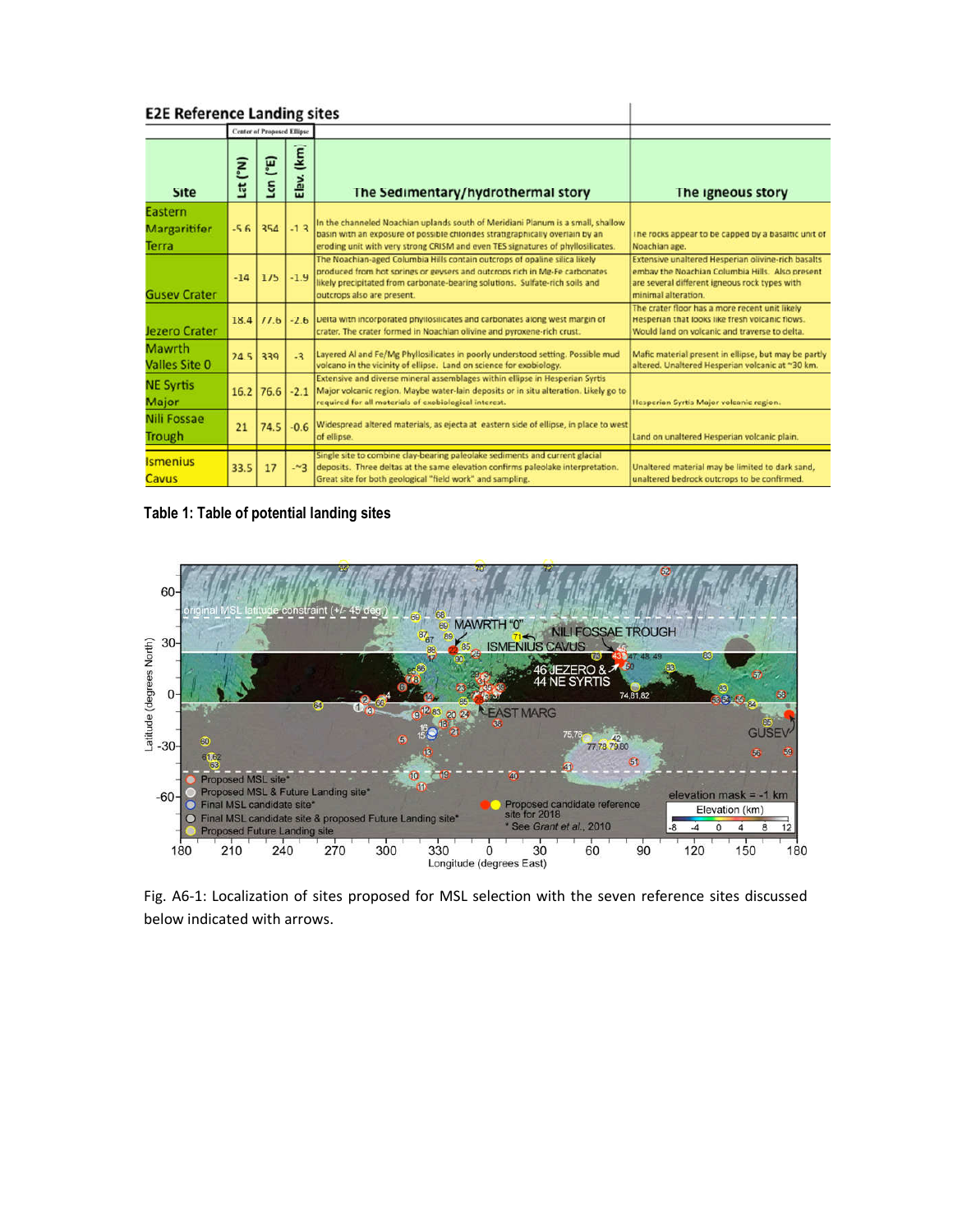| <b>E2E Reference Landing sites</b> |                                   |             |                          |                                                                                                                                                                                                                                                                        |                                                                                                                                                                               |
|------------------------------------|-----------------------------------|-------------|--------------------------|------------------------------------------------------------------------------------------------------------------------------------------------------------------------------------------------------------------------------------------------------------------------|-------------------------------------------------------------------------------------------------------------------------------------------------------------------------------|
|                                    | <b>Center of Proposed Ellipse</b> |             |                          |                                                                                                                                                                                                                                                                        |                                                                                                                                                                               |
| <b>Site</b>                        | Lat (°N)                          | ("E)<br>Lon | $(\mathsf{km})$<br>Elev. | The Sedimentary/hydrothermal story                                                                                                                                                                                                                                     | The igneous story                                                                                                                                                             |
| Eastern<br>Margaritifer<br>Terra   | $-5.6$                            | 354         | $-1.3$                   | In the channeled Noachian uplands south of Meridiani Planum is a small, shallow<br>basin with an exposure of possible chlorides stratigraphically overlain by an<br>eroding unit with very strong CRISM and even TES signatures of phyllosilicates.                    | The rocks appear to be capped by a basaltic unit of<br>Noachian age.                                                                                                          |
| <b>Gusey Crater</b>                | $-14$                             | 175         | $-1.9$                   | The Noachian-aged Columbia Hills contain outcrops of opaline silica likely<br>produced from hot springs or geysers and outcrops rich in Mg-Fe carbonates<br>likely precipitated from carbonate-bearing solutions. Sulfate-rich soils and<br>outcrops also are present. | Extensive unaltered Hesperian olivine-rich basalts<br>embay the Noachian Columbia Hills. Also present<br>are several different igneous rock types with<br>minimal alteration. |
| Jezero Crater                      |                                   | 18.4 77.6   | $-2.6$                   | Delta with incorporated phyllosilicates and carbonates along west margin of<br>crater. The crater formed in Noachian olivine and pyroxene-rich crust.                                                                                                                  | The crater floor has a more recent unit likely<br>Hesperian that looks like fresh volcanic flows.<br>Would land on volcanic and traverse to delta.                            |
| Mawrth<br><b>Valles Site 0</b>     | 24.5                              | 339         | $-2$                     | Layered Al and Fe/Mg Phyllosilicates in poorly understood setting. Possible mud<br>volcano in the vicinity of ellipse. Land on science for exobiology.                                                                                                                 | Mafic material present in ellipse, but may be partly<br>altered. Unaltered Hesperian volcanic at ~30 km.                                                                      |
| <b>NE Syrtis</b><br>Major          | 16.2                              | 76.6        | $-2.1$                   | Extensive and diverse mineral assemblages within ellipse in Hesperian Syrtis.<br>Major volcanic region. Maybe water-lain deposits or in situ alteration. Likely go to<br>required for all materials of exobiological interest.                                         | Hesperian Syrtis Major volcanic region.                                                                                                                                       |
| <b>Nili Fossae</b><br>Trough       | 21                                | 74.5        | $-0.6$                   | Widespread altered materials, as ejecta at eastern side of ellipse, in place to west<br>of ellipse.                                                                                                                                                                    | Land on unaltered Hesperian volcanic plain.                                                                                                                                   |
| <b>Ismenius</b><br>Cavus           | 33.5                              | 17          | $-23$                    | Single site to combine clay-bearing paleolake sediments and current glacial<br>deposits. Three deltas at the same elevation confirms paleolake interpretation.<br>Great site for both geological "field work" and sampling.                                            | Unaltered material may be limited to dark sand,<br>unaltered bedrock outcrops to be confirmed.                                                                                |

Table 1: Table of potential landing sites



Fig. A6-1: Localization of sites proposed for MSL selection with the seven reference sites discussed below indicated with arrows.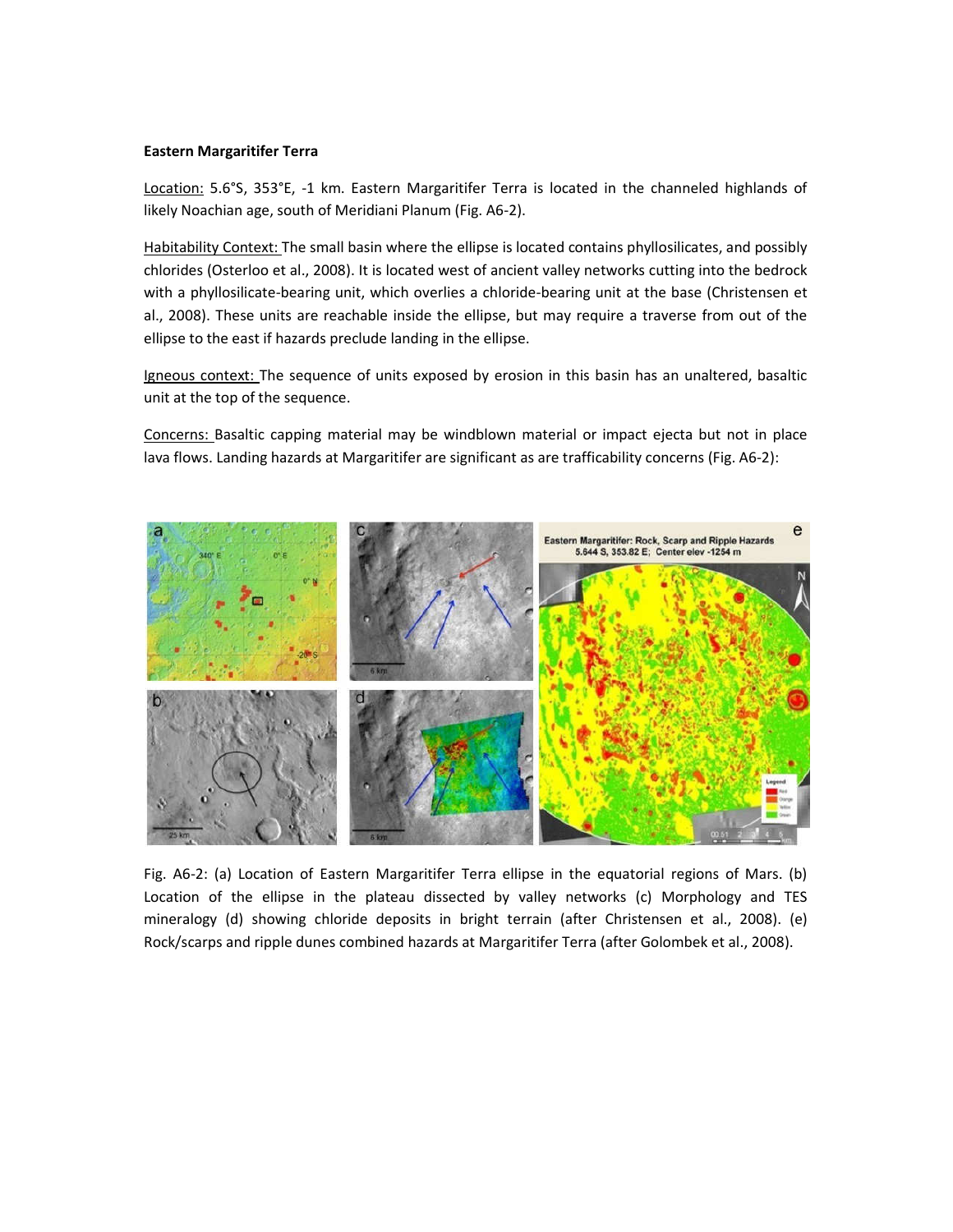#### Eastern Margaritifer Terra

Location: 5.6°S, 353°E, -1 km. Eastern Margaritifer Terra is located in the channeled highlands of likely Noachian age, south of Meridiani Planum (Fig. A6-2).

Habitability Context: The small basin where the ellipse is located contains phyllosilicates, and possibly chlorides (Osterloo et al., 2008). It is located west of ancient valley networks cutting into the bedrock with a phyllosilicate-bearing unit, which overlies a chloride-bearing unit at the base (Christensen et al., 2008). These units are reachable inside the ellipse, but may require a traverse from out of the ellipse to the east if hazards preclude landing in the ellipse.

Igneous context: The sequence of units exposed by erosion in this basin has an unaltered, basaltic unit at the top of the sequence.

Concerns: Basaltic capping material may be windblown material or impact ejecta but not in place lava flows. Landing hazards at Margaritifer are significant as are trafficability concerns (Fig. A6-2):



Fig. A6-2: (a) Location of Eastern Margaritifer Terra ellipse in the equatorial regions of Mars. (b) Location of the ellipse in the plateau dissected by valley networks (c) Morphology and TES mineralogy (d) showing chloride deposits in bright terrain (after Christensen et al., 2008). (e) Rock/scarps and ripple dunes combined hazards at Margaritifer Terra (after Golombek et al., 2008).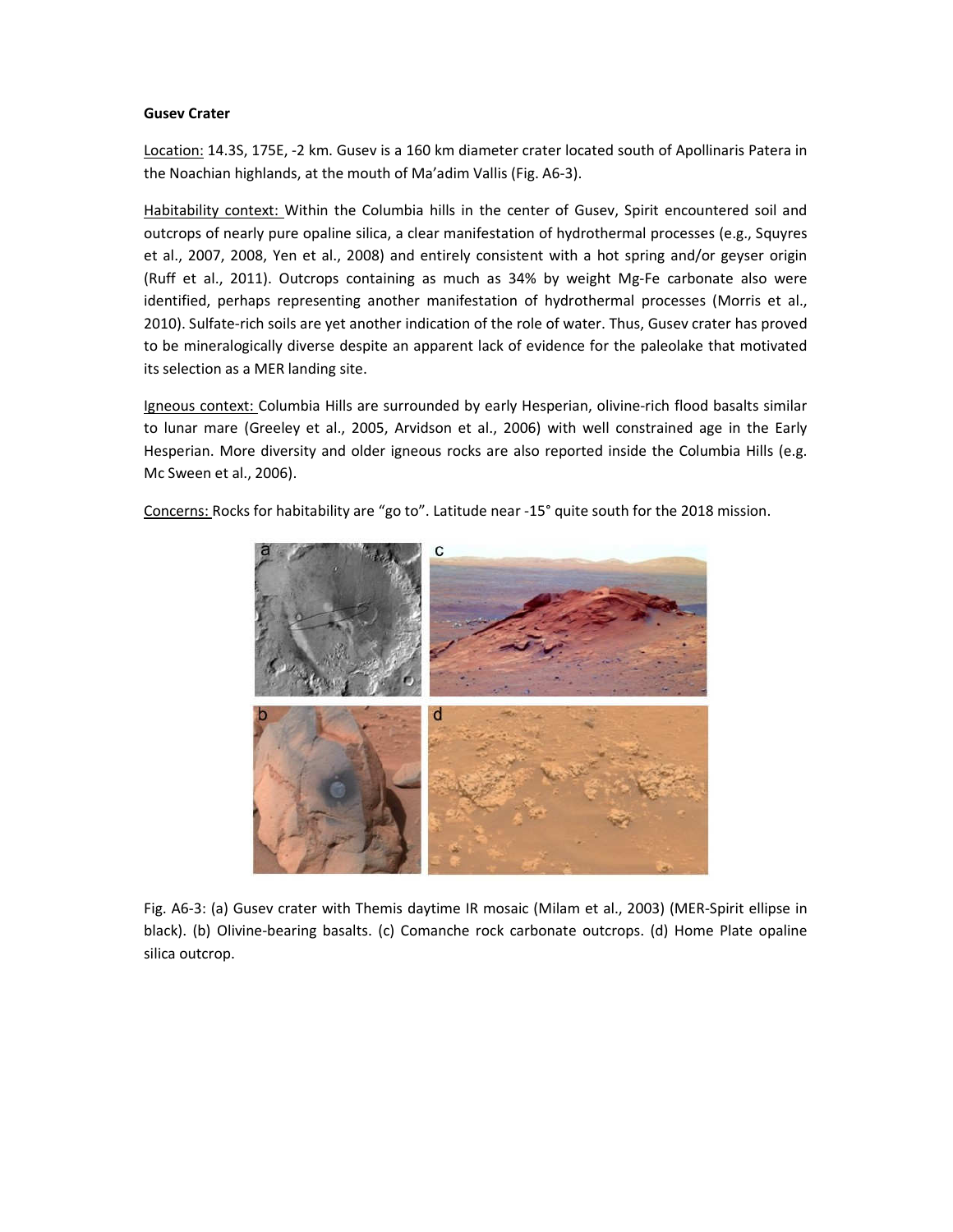#### Gusev Crater

Location: 14.3S, 175E, -2 km. Gusev is a 160 km diameter crater located south of Apollinaris Patera in the Noachian highlands, at the mouth of Ma'adim Vallis (Fig. A6-3).

Habitability context: Within the Columbia hills in the center of Gusev, Spirit encountered soil and outcrops of nearly pure opaline silica, a clear manifestation of hydrothermal processes (e.g., Squyres et al., 2007, 2008, Yen et al., 2008) and entirely consistent with a hot spring and/or geyser origin (Ruff et al., 2011). Outcrops containing as much as 34% by weight Mg-Fe carbonate also were identified, perhaps representing another manifestation of hydrothermal processes (Morris et al., 2010). Sulfate-rich soils are yet another indication of the role of water. Thus, Gusev crater has proved to be mineralogically diverse despite an apparent lack of evidence for the paleolake that motivated its selection as a MER landing site.

Igneous context: Columbia Hills are surrounded by early Hesperian, olivine-rich flood basalts similar to lunar mare (Greeley et al., 2005, Arvidson et al., 2006) with well constrained age in the Early Hesperian. More diversity and older igneous rocks are also reported inside the Columbia Hills (e.g. Mc Sween et al., 2006).

Concerns: Rocks for habitability are "go to". Latitude near -15° quite south for the 2018 mission.



Fig. A6-3: (a) Gusev crater with Themis daytime IR mosaic (Milam et al., 2003) (MER-Spirit ellipse in black). (b) Olivine-bearing basalts. (c) Comanche rock carbonate outcrops. (d) Home Plate opaline silica outcrop.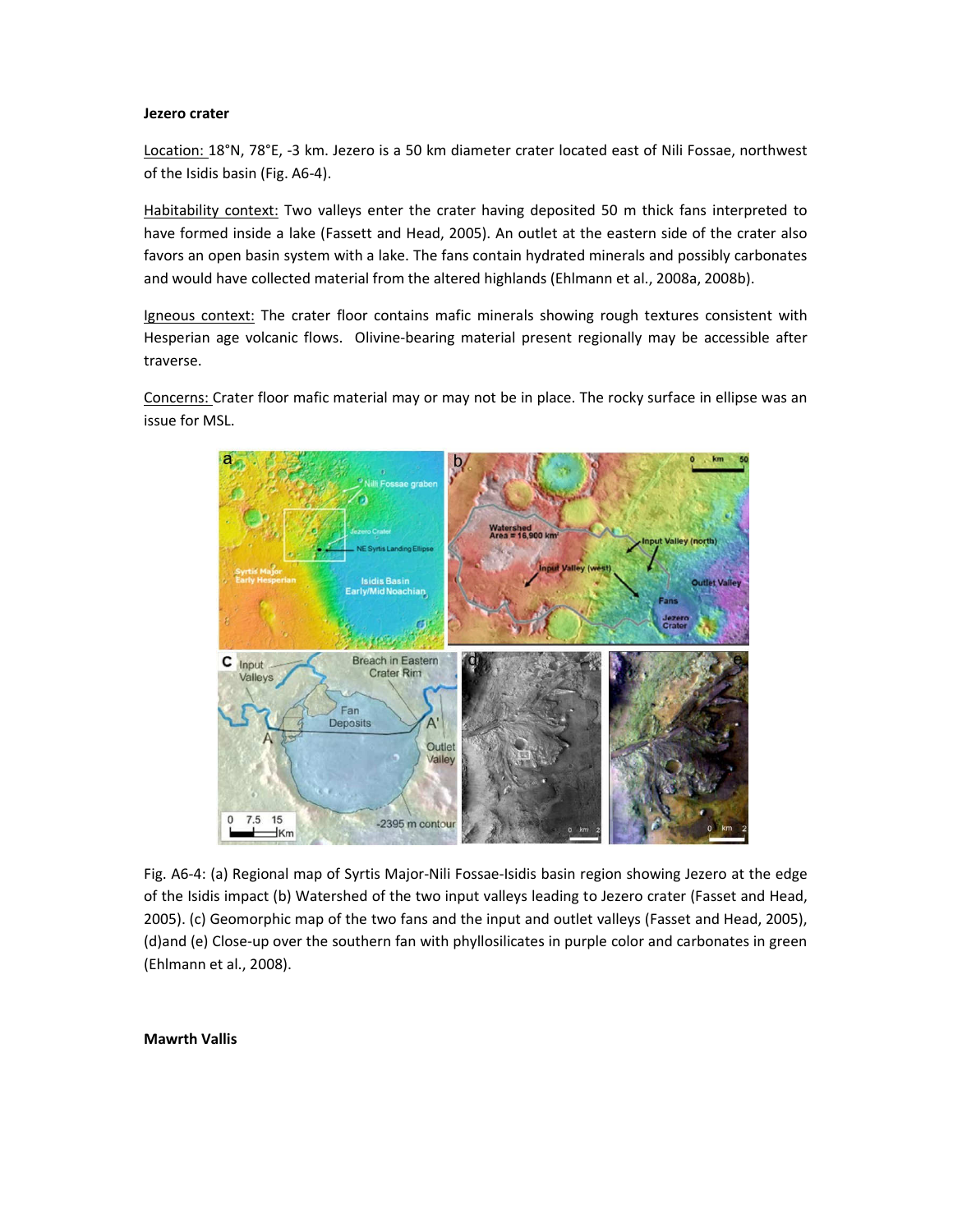#### Jezero crater

Location: 18°N, 78°E, -3 km. Jezero is a 50 km diameter crater located east of Nili Fossae, northwest of the Isidis basin (Fig. A6-4).

Habitability context: Two valleys enter the crater having deposited 50 m thick fans interpreted to have formed inside a lake (Fassett and Head, 2005). An outlet at the eastern side of the crater also favors an open basin system with a lake. The fans contain hydrated minerals and possibly carbonates and would have collected material from the altered highlands (Ehlmann et al., 2008a, 2008b).

Igneous context: The crater floor contains mafic minerals showing rough textures consistent with Hesperian age volcanic flows. Olivine-bearing material present regionally may be accessible after traverse.

Concerns: Crater floor mafic material may or may not be in place. The rocky surface in ellipse was an issue for MSL.



Fig. A6-4: (a) Regional map of Syrtis Major-Nili Fossae-Isidis basin region showing Jezero at the edge of the Isidis impact (b) Watershed of the two input valleys leading to Jezero crater (Fasset and Head, 2005). (c) Geomorphic map of the two fans and the input and outlet valleys (Fasset and Head, 2005), (d)and (e) Close-up over the southern fan with phyllosilicates in purple color and carbonates in green (Ehlmann et al., 2008).

#### Mawrth Vallis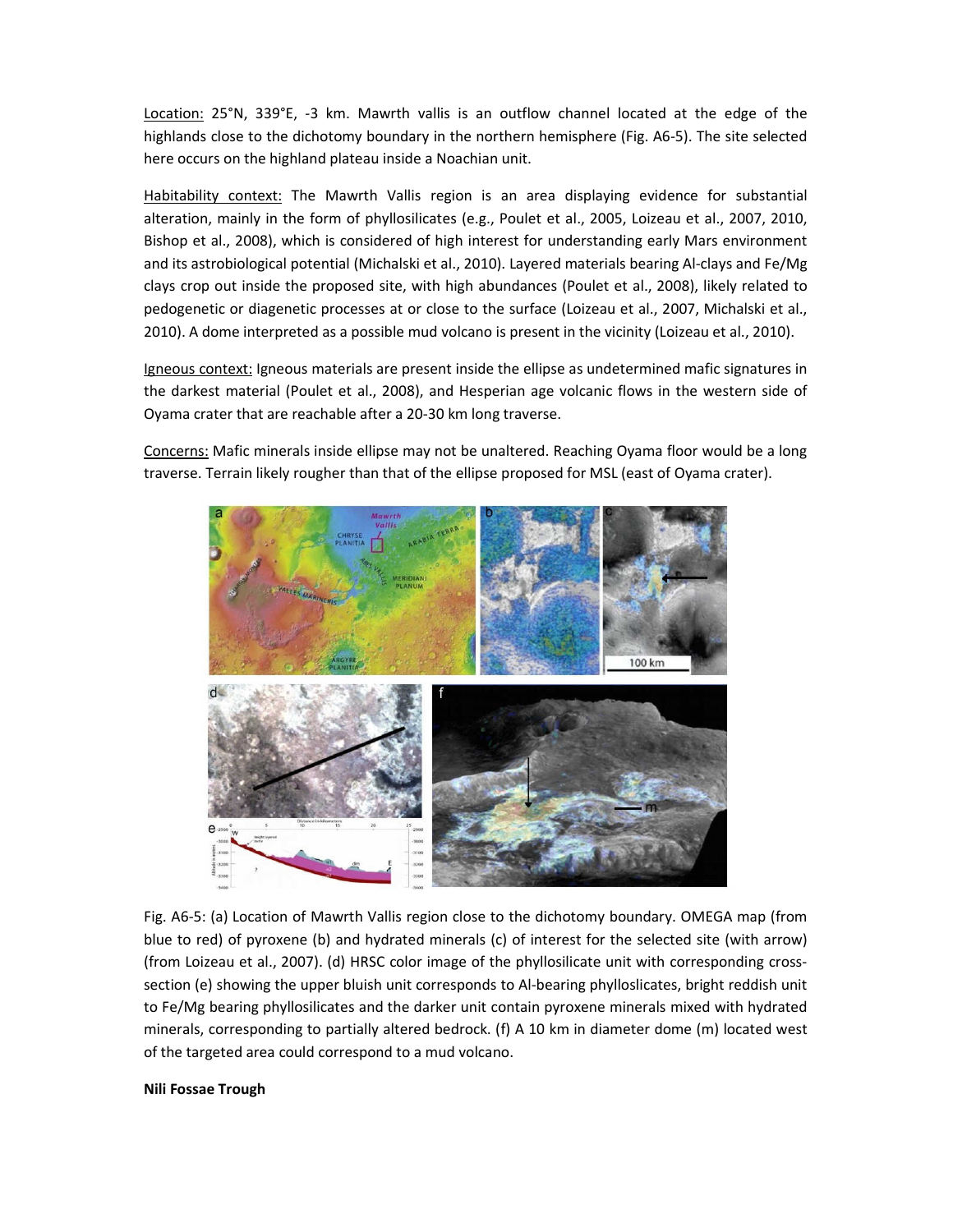Location: 25°N, 339°E, -3 km. Mawrth vallis is an outflow channel located at the edge of the highlands close to the dichotomy boundary in the northern hemisphere (Fig. A6-5). The site selected here occurs on the highland plateau inside a Noachian unit.

Habitability context: The Mawrth Vallis region is an area displaying evidence for substantial alteration, mainly in the form of phyllosilicates (e.g., Poulet et al., 2005, Loizeau et al., 2007, 2010, Bishop et al., 2008), which is considered of high interest for understanding early Mars environment and its astrobiological potential (Michalski et al., 2010). Layered materials bearing Al-clays and Fe/Mg clays crop out inside the proposed site, with high abundances (Poulet et al., 2008), likely related to pedogenetic or diagenetic processes at or close to the surface (Loizeau et al., 2007, Michalski et al., 2010). A dome interpreted as a possible mud volcano is present in the vicinity (Loizeau et al., 2010).

Igneous context: Igneous materials are present inside the ellipse as undetermined mafic signatures in the darkest material (Poulet et al., 2008), and Hesperian age volcanic flows in the western side of Oyama crater that are reachable after a 20-30 km long traverse.

Concerns: Mafic minerals inside ellipse may not be unaltered. Reaching Oyama floor would be a long traverse. Terrain likely rougher than that of the ellipse proposed for MSL (east of Oyama crater).



Fig. A6-5: (a) Location of Mawrth Vallis region close to the dichotomy boundary. OMEGA map (from blue to red) of pyroxene (b) and hydrated minerals (c) of interest for the selected site (with arrow) (from Loizeau et al., 2007). (d) HRSC color image of the phyllosilicate unit with corresponding crosssection (e) showing the upper bluish unit corresponds to Al-bearing phylloslicates, bright reddish unit to Fe/Mg bearing phyllosilicates and the darker unit contain pyroxene minerals mixed with hydrated minerals, corresponding to partially altered bedrock. (f) A 10 km in diameter dome (m) located west of the targeted area could correspond to a mud volcano.

#### Nili Fossae Trough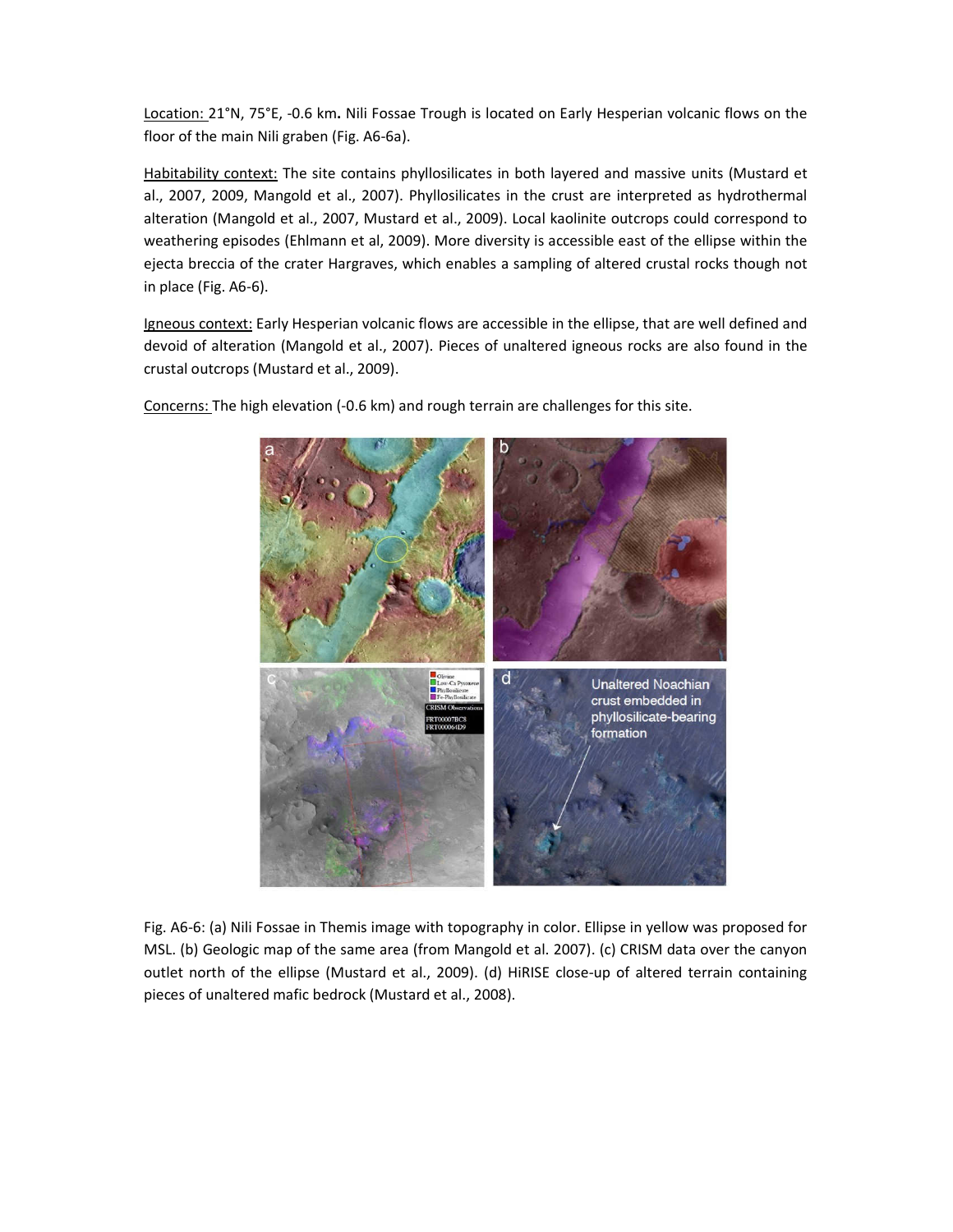Location: 21°N, 75°E, -0.6 km. Nili Fossae Trough is located on Early Hesperian volcanic flows on the floor of the main Nili graben (Fig. A6-6a).

Habitability context: The site contains phyllosilicates in both layered and massive units (Mustard et al., 2007, 2009, Mangold et al., 2007). Phyllosilicates in the crust are interpreted as hydrothermal alteration (Mangold et al., 2007, Mustard et al., 2009). Local kaolinite outcrops could correspond to weathering episodes (Ehlmann et al, 2009). More diversity is accessible east of the ellipse within the ejecta breccia of the crater Hargraves, which enables a sampling of altered crustal rocks though not in place (Fig. A6-6).

Igneous context: Early Hesperian volcanic flows are accessible in the ellipse, that are well defined and devoid of alteration (Mangold et al., 2007). Pieces of unaltered igneous rocks are also found in the crustal outcrops (Mustard et al., 2009).



Concerns: The high elevation (-0.6 km) and rough terrain are challenges for this site.

Fig. A6-6: (a) Nili Fossae in Themis image with topography in color. Ellipse in yellow was proposed for MSL. (b) Geologic map of the same area (from Mangold et al. 2007). (c) CRISM data over the canyon outlet north of the ellipse (Mustard et al., 2009). (d) HiRISE close-up of altered terrain containing pieces of unaltered mafic bedrock (Mustard et al., 2008).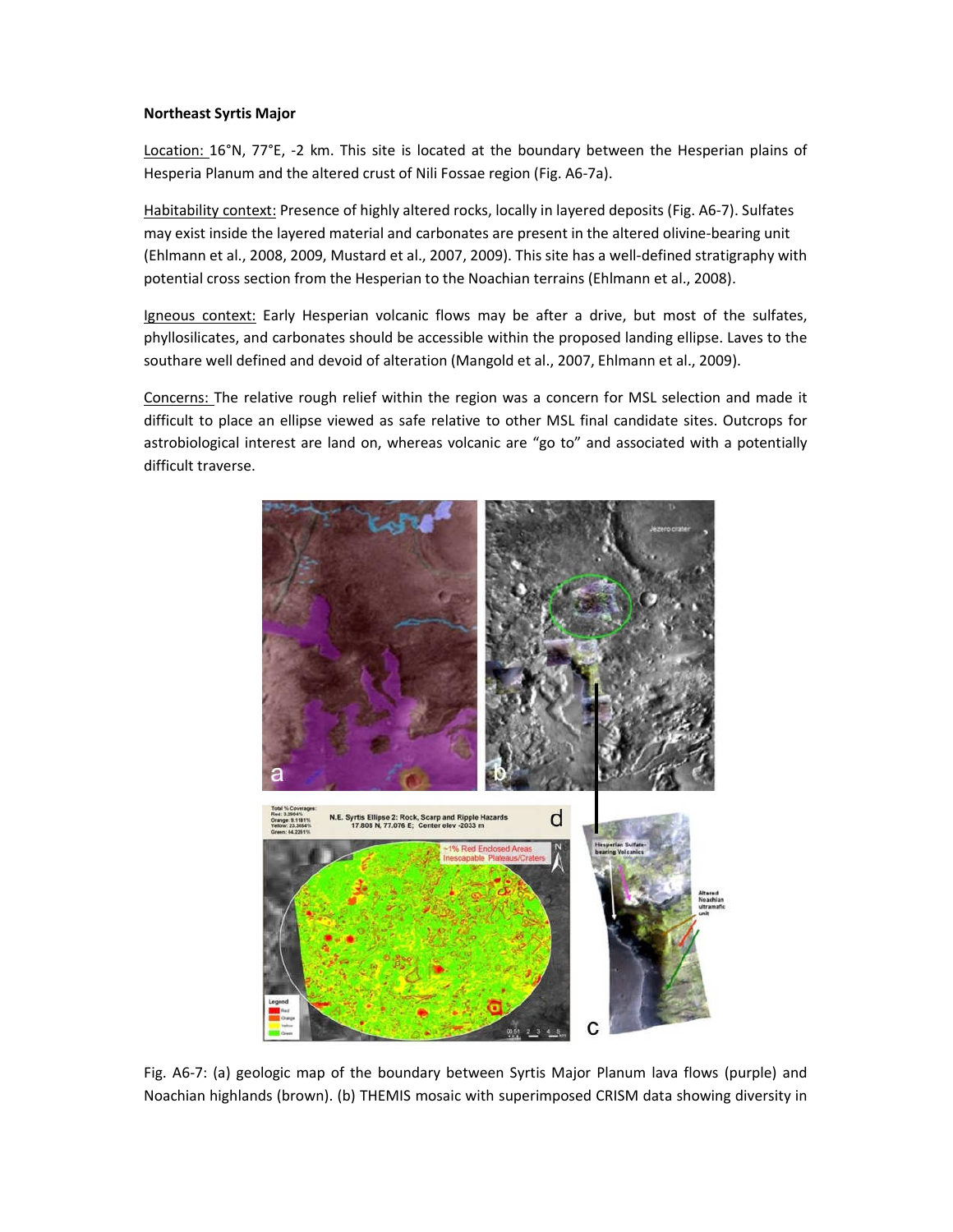#### Northeast Syrtis Major

Location: 16°N, 77°E, -2 km. This site is located at the boundary between the Hesperian plains of Hesperia Planum and the altered crust of Nili Fossae region (Fig. A6-7a).

Habitability context: Presence of highly altered rocks, locally in layered deposits (Fig. A6-7). Sulfates may exist inside the layered material and carbonates are present in the altered olivine-bearing unit (Ehlmann et al., 2008, 2009, Mustard et al., 2007, 2009). This site has a well-defined stratigraphy with potential cross section from the Hesperian to the Noachian terrains (Ehlmann et al., 2008).

Igneous context: Early Hesperian volcanic flows may be after a drive, but most of the sulfates, phyllosilicates, and carbonates should be accessible within the proposed landing ellipse. Laves to the southare well defined and devoid of alteration (Mangold et al., 2007, Ehlmann et al., 2009).

Concerns: The relative rough relief within the region was a concern for MSL selection and made it difficult to place an ellipse viewed as safe relative to other MSL final candidate sites. Outcrops for astrobiological interest are land on, whereas volcanic are "go to" and associated with a potentially difficult traverse.



Fig. A6-7: (a) geologic map of the boundary between Syrtis Major Planum lava flows (purple) and Noachian highlands (brown). (b) THEMIS mosaic with superimposed CRISM data showing diversity in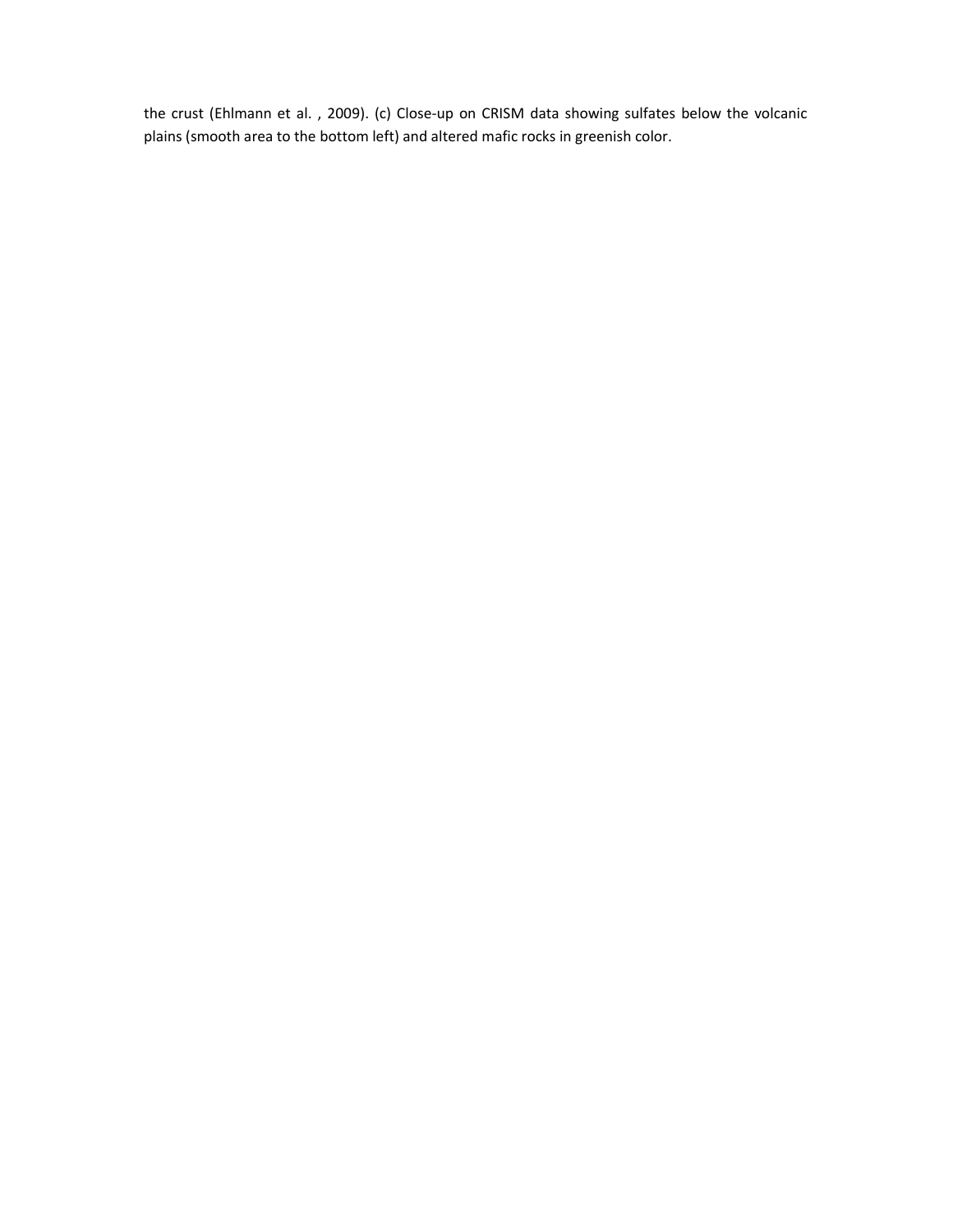the crust (Ehlmann et al. , 2009). (c) Close-up on CRISM data showing sulfates below the volcanic plains (smooth area to the bottom left) and altered mafic rocks in greenish color.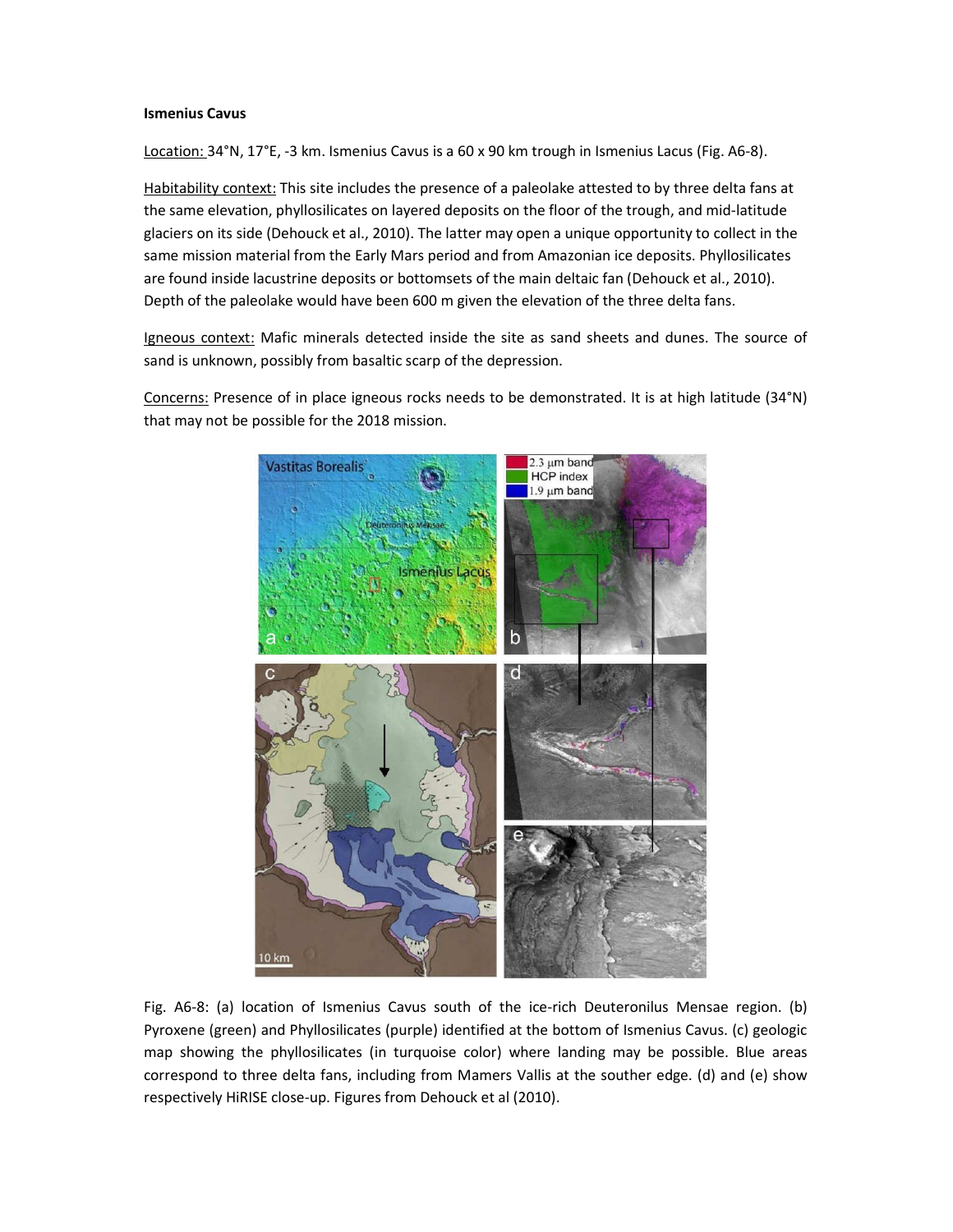#### Ismenius Cavus

Location: 34°N, 17°E, -3 km. Ismenius Cavus is a 60 x 90 km trough in Ismenius Lacus (Fig. A6-8).

Habitability context: This site includes the presence of a paleolake attested to by three delta fans at the same elevation, phyllosilicates on layered deposits on the floor of the trough, and mid-latitude glaciers on its side (Dehouck et al., 2010). The latter may open a unique opportunity to collect in the same mission material from the Early Mars period and from Amazonian ice deposits. Phyllosilicates are found inside lacustrine deposits or bottomsets of the main deltaic fan (Dehouck et al., 2010). Depth of the paleolake would have been 600 m given the elevation of the three delta fans.

Igneous context: Mafic minerals detected inside the site as sand sheets and dunes. The source of sand is unknown, possibly from basaltic scarp of the depression.

Concerns: Presence of in place igneous rocks needs to be demonstrated. It is at high latitude (34°N) that may not be possible for the 2018 mission.



Fig. A6-8: (a) location of Ismenius Cavus south of the ice-rich Deuteronilus Mensae region. (b) Pyroxene (green) and Phyllosilicates (purple) identified at the bottom of Ismenius Cavus. (c) geologic map showing the phyllosilicates (in turquoise color) where landing may be possible. Blue areas correspond to three delta fans, including from Mamers Vallis at the souther edge. (d) and (e) show respectively HiRISE close-up. Figures from Dehouck et al (2010).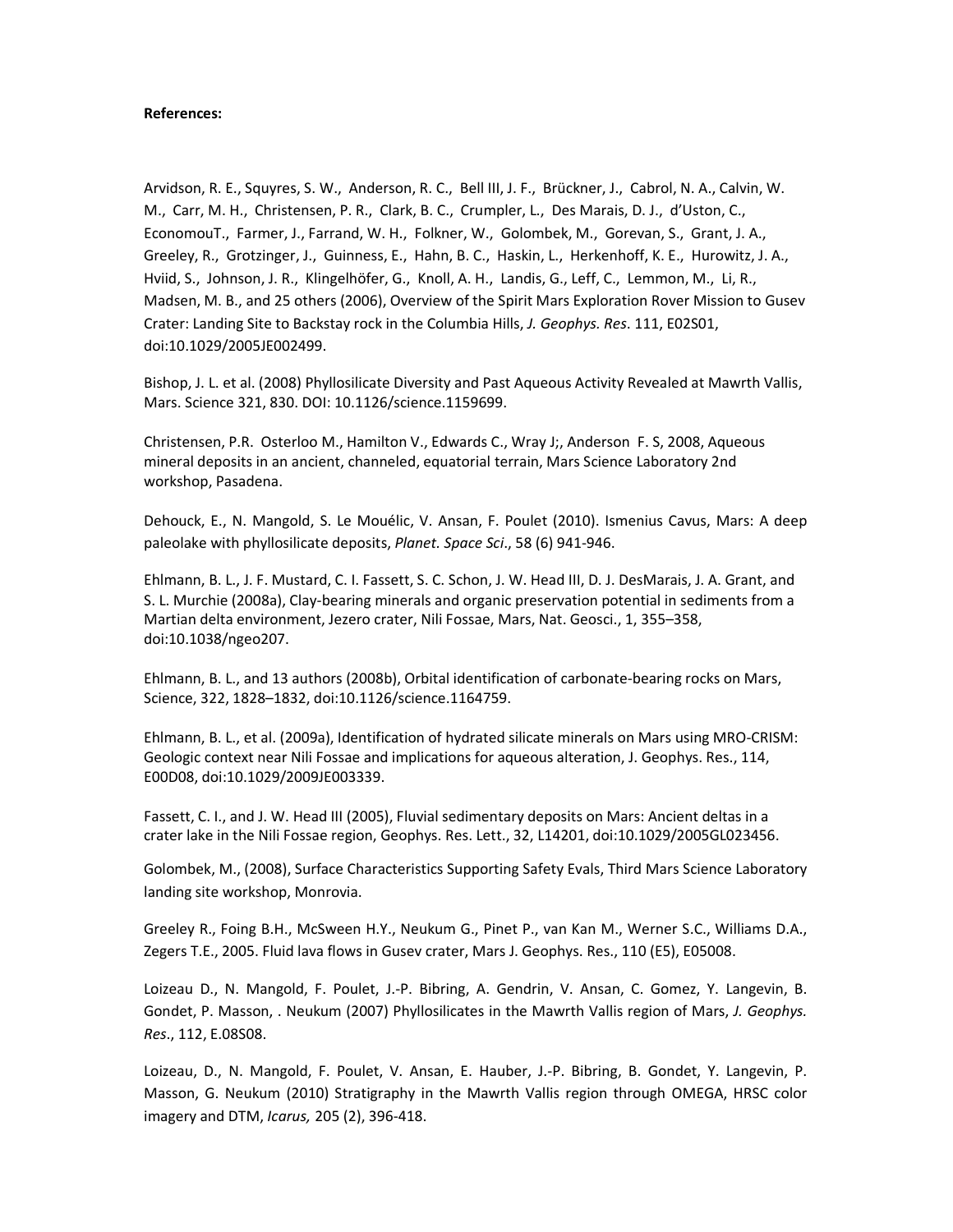#### References:

Arvidson, R. E., Squyres, S. W., Anderson, R. C., Bell III, J. F., Brückner, J., Cabrol, N. A., Calvin, W. M., Carr, M. H., Christensen, P. R., Clark, B. C., Crumpler, L., Des Marais, D. J., d'Uston, C., EconomouT., Farmer, J., Farrand, W. H., Folkner, W., Golombek, M., Gorevan, S., Grant, J. A., Greeley, R., Grotzinger, J., Guinness, E., Hahn, B. C., Haskin, L., Herkenhoff, K. E., Hurowitz, J. A., Hviid, S., Johnson, J. R., Klingelhöfer, G., Knoll, A. H., Landis, G., Leff, C., Lemmon, M., Li, R., Madsen, M. B., and 25 others (2006), Overview of the Spirit Mars Exploration Rover Mission to Gusev Crater: Landing Site to Backstay rock in the Columbia Hills, J. Geophys. Res. 111, E02S01, doi:10.1029/2005JE002499.

Bishop, J. L. et al. (2008) Phyllosilicate Diversity and Past Aqueous Activity Revealed at Mawrth Vallis, Mars. Science 321, 830. DOI: 10.1126/science.1159699.

Christensen, P.R. Osterloo M., Hamilton V., Edwards C., Wray J;, Anderson F. S, 2008, Aqueous mineral deposits in an ancient, channeled, equatorial terrain, Mars Science Laboratory 2nd workshop, Pasadena.

Dehouck, E., N. Mangold, S. Le Mouélic, V. Ansan, F. Poulet (2010). Ismenius Cavus, Mars: A deep paleolake with phyllosilicate deposits, Planet. Space Sci., 58 (6) 941-946.

Ehlmann, B. L., J. F. Mustard, C. I. Fassett, S. C. Schon, J. W. Head III, D. J. DesMarais, J. A. Grant, and S. L. Murchie (2008a), Clay-bearing minerals and organic preservation potential in sediments from a Martian delta environment, Jezero crater, Nili Fossae, Mars, Nat. Geosci., 1, 355–358, doi:10.1038/ngeo207.

Ehlmann, B. L., and 13 authors (2008b), Orbital identification of carbonate-bearing rocks on Mars, Science, 322, 1828–1832, doi:10.1126/science.1164759.

Ehlmann, B. L., et al. (2009a), Identification of hydrated silicate minerals on Mars using MRO-CRISM: Geologic context near Nili Fossae and implications for aqueous alteration, J. Geophys. Res., 114, E00D08, doi:10.1029/2009JE003339.

Fassett, C. I., and J. W. Head III (2005), Fluvial sedimentary deposits on Mars: Ancient deltas in a crater lake in the Nili Fossae region, Geophys. Res. Lett., 32, L14201, doi:10.1029/2005GL023456.

Golombek, M., (2008), Surface Characteristics Supporting Safety Evals, Third Mars Science Laboratory landing site workshop, Monrovia.

Greeley R., Foing B.H., McSween H.Y., Neukum G., Pinet P., van Kan M., Werner S.C., Williams D.A., Zegers T.E., 2005. Fluid lava flows in Gusev crater, Mars J. Geophys. Res., 110 (E5), E05008.

Loizeau D., N. Mangold, F. Poulet, J.-P. Bibring, A. Gendrin, V. Ansan, C. Gomez, Y. Langevin, B. Gondet, P. Masson, . Neukum (2007) Phyllosilicates in the Mawrth Vallis region of Mars, J. Geophys. Res., 112, E.08S08.

Loizeau, D., N. Mangold, F. Poulet, V. Ansan, E. Hauber, J.-P. Bibring, B. Gondet, Y. Langevin, P. Masson, G. Neukum (2010) Stratigraphy in the Mawrth Vallis region through OMEGA, HRSC color imagery and DTM, Icarus, 205 (2), 396-418.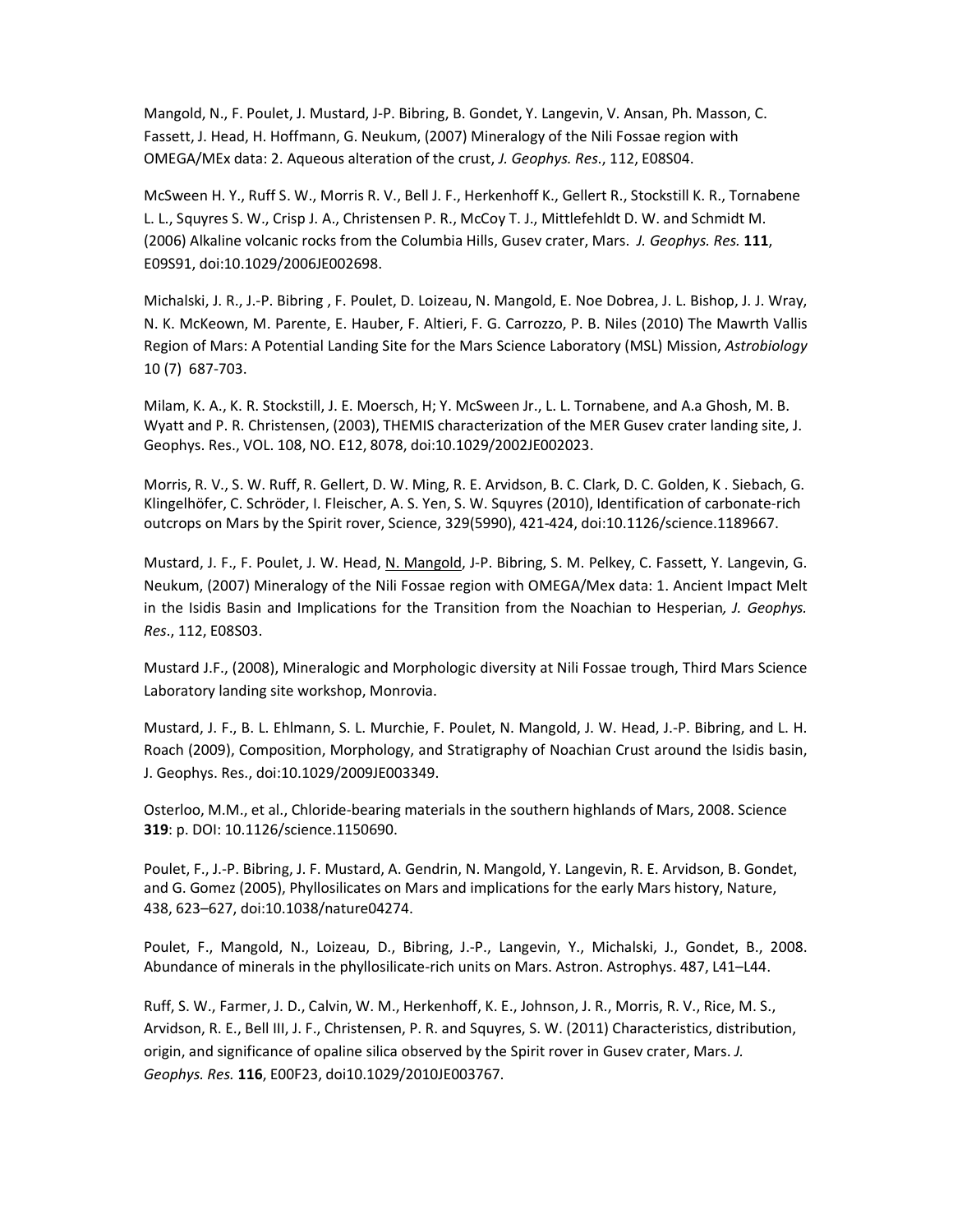Mangold, N., F. Poulet, J. Mustard, J-P. Bibring, B. Gondet, Y. Langevin, V. Ansan, Ph. Masson, C. Fassett, J. Head, H. Hoffmann, G. Neukum, (2007) Mineralogy of the Nili Fossae region with OMEGA/MEx data: 2. Aqueous alteration of the crust, J. Geophys. Res., 112, E08S04.

McSween H. Y., Ruff S. W., Morris R. V., Bell J. F., Herkenhoff K., Gellert R., Stockstill K. R., Tornabene L. L., Squyres S. W., Crisp J. A., Christensen P. R., McCoy T. J., Mittlefehldt D. W. and Schmidt M. (2006) Alkaline volcanic rocks from the Columbia Hills, Gusev crater, Mars. J. Geophys. Res. 111, E09S91, doi:10.1029/2006JE002698.

Michalski, J. R., J.-P. Bibring , F. Poulet, D. Loizeau, N. Mangold, E. Noe Dobrea, J. L. Bishop, J. J. Wray, N. K. McKeown, M. Parente, E. Hauber, F. Altieri, F. G. Carrozzo, P. B. Niles (2010) The Mawrth Vallis Region of Mars: A Potential Landing Site for the Mars Science Laboratory (MSL) Mission, Astrobiology 10 (7) 687-703.

Milam, K. A., K. R. Stockstill, J. E. Moersch, H; Y. McSween Jr., L. L. Tornabene, and A.a Ghosh, M. B. Wyatt and P. R. Christensen, (2003), THEMIS characterization of the MER Gusev crater landing site, J. Geophys. Res., VOL. 108, NO. E12, 8078, doi:10.1029/2002JE002023.

Morris, R. V., S. W. Ruff, R. Gellert, D. W. Ming, R. E. Arvidson, B. C. Clark, D. C. Golden, K . Siebach, G. Klingelhöfer, C. Schröder, I. Fleischer, A. S. Yen, S. W. Squyres (2010), Identification of carbonate-rich outcrops on Mars by the Spirit rover, Science, 329(5990), 421-424, doi:10.1126/science.1189667.

Mustard, J. F., F. Poulet, J. W. Head, N. Mangold, J-P. Bibring, S. M. Pelkey, C. Fassett, Y. Langevin, G. Neukum, (2007) Mineralogy of the Nili Fossae region with OMEGA/Mex data: 1. Ancient Impact Melt in the Isidis Basin and Implications for the Transition from the Noachian to Hesperian, J. Geophys. Res., 112, E08S03.

Mustard J.F., (2008), Mineralogic and Morphologic diversity at Nili Fossae trough, Third Mars Science Laboratory landing site workshop, Monrovia.

Mustard, J. F., B. L. Ehlmann, S. L. Murchie, F. Poulet, N. Mangold, J. W. Head, J.-P. Bibring, and L. H. Roach (2009), Composition, Morphology, and Stratigraphy of Noachian Crust around the Isidis basin, J. Geophys. Res., doi:10.1029/2009JE003349.

Osterloo, M.M., et al., Chloride-bearing materials in the southern highlands of Mars, 2008. Science 319: p. DOI: 10.1126/science.1150690.

Poulet, F., J.-P. Bibring, J. F. Mustard, A. Gendrin, N. Mangold, Y. Langevin, R. E. Arvidson, B. Gondet, and G. Gomez (2005), Phyllosilicates on Mars and implications for the early Mars history, Nature, 438, 623–627, doi:10.1038/nature04274.

Poulet, F., Mangold, N., Loizeau, D., Bibring, J.-P., Langevin, Y., Michalski, J., Gondet, B., 2008. Abundance of minerals in the phyllosilicate-rich units on Mars. Astron. Astrophys. 487, L41–L44.

Ruff, S. W., Farmer, J. D., Calvin, W. M., Herkenhoff, K. E., Johnson, J. R., Morris, R. V., Rice, M. S., Arvidson, R. E., Bell III, J. F., Christensen, P. R. and Squyres, S. W. (2011) Characteristics, distribution, origin, and significance of opaline silica observed by the Spirit rover in Gusev crater, Mars. J. Geophys. Res. 116, E00F23, doi10.1029/2010JE003767.